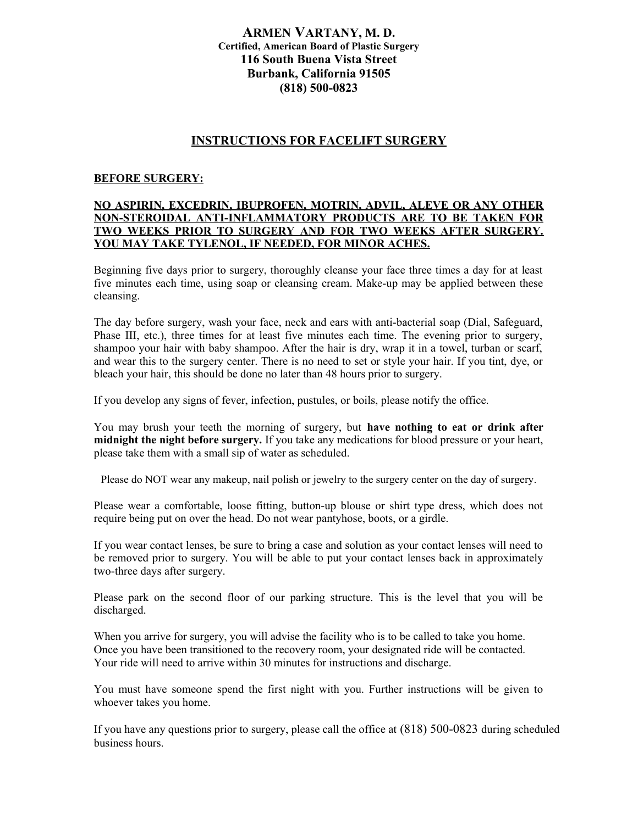# **ARMEN VARTANY, M. D. Certified, American Board of Plastic Surgery 116 South Buena Vista Street Burbank, California 91505 (818) 500-0823**

# **INSTRUCTIONS FOR FACELIFT SURGERY**

#### **BEFORE SURGERY:**

## **NO ASPIRIN, EXCEDRIN, IBUPROFEN, MOTRIN, ADVIL, ALEVE OR ANY OTHER NON-STEROIDAL ANTI-INFLAMMATORY PRODUCTS ARE TO BE TAKEN FOR TWO WEEKS PRIOR TO SURGERY AND FOR TWO WEEKS AFTER SURGERY. YOU MAY TAKE TYLENOL, IF NEEDED, FOR MINOR ACHES.**

Beginning five days prior to surgery, thoroughly cleanse your face three times a day for at least five minutes each time, using soap or cleansing cream. Make-up may be applied between these cleansing.

The day before surgery, wash your face, neck and ears with anti-bacterial soap (Dial, Safeguard, Phase III, etc.), three times for at least five minutes each time. The evening prior to surgery, shampoo your hair with baby shampoo. After the hair is dry, wrap it in a towel, turban or scarf, and wear this to the surgery center. There is no need to set or style your hair. If you tint, dye, or bleach your hair, this should be done no later than 48 hours prior to surgery.

If you develop any signs of fever, infection, pustules, or boils, please notify the office.

You may brush your teeth the morning of surgery, but **have nothing to eat or drink after midnight the night before surgery.** If you take any medications for blood pressure or your heart, please take them with a small sip of water as scheduled.

Please do NOT wear any makeup, nail polish or jewelry to the surgery center on the day of surgery.

Please wear a comfortable, loose fitting, button-up blouse or shirt type dress, which does not require being put on over the head. Do not wear pantyhose, boots, or a girdle.

If you wear contact lenses, be sure to bring a case and solution as your contact lenses will need to be removed prior to surgery. You will be able to put your contact lenses back in approximately two-three days after surgery.

Please park on the second floor of our parking structure. This is the level that you will be discharged.

When you arrive for surgery, you will advise the facility who is to be called to take you home. Once you have been transitioned to the recovery room, your designated ride will be contacted. Your ride will need to arrive within 30 minutes for instructions and discharge.

You must have someone spend the first night with you. Further instructions will be given to whoever takes you home.

If you have any questions prior to surgery, please call the office at (818) 500-0823 during scheduled business hours.